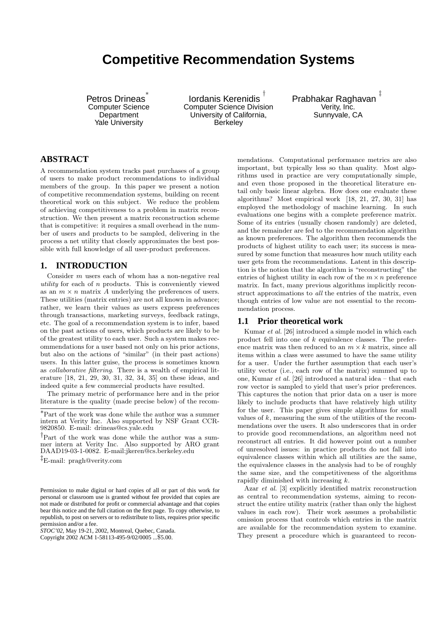# **Competitive Recommendation Systems**

Petros Drineas ∗ Computer Science **Department** Yale University

Iordanis Kerenidis † Computer Science Division University of California, **Berkeley** 

Prabhakar Raghavan ‡ Verity, Inc. Sunnyvale, CA

# **ABSTRACT**

A recommendation system tracks past purchases of a group of users to make product recommendations to individual members of the group. In this paper we present a notion of competitive recommendation systems, building on recent theoretical work on this subject. We reduce the problem of achieving competitiveness to a problem in matrix reconstruction. We then present a matrix reconstruction scheme that is competitive: it requires a small overhead in the number of users and products to be sampled, delivering in the process a net utility that closely approximates the best possible with full knowledge of all user-product preferences.

# **1. INTRODUCTION**

Consider m users each of whom has a non-negative real utility for each of  $n$  products. This is conveniently viewed as an  $m \times n$  matrix A underlying the preferences of users. These utilities (matrix entries) are not all known in advance; rather, we learn their values as users express preferences through transactions, marketing surveys, feedback ratings, etc. The goal of a recommendation system is to infer, based on the past actions of users, which products are likely to be of the greatest utility to each user. Such a system makes recommendations for a user based not only on his prior actions, but also on the actions of "similar" (in their past actions) users. In this latter guise, the process is sometimes known as collaborative filtering. There is a wealth of empirical literature [18, 21, 29, 30, 31, 32, 34, 35] on these ideas, and indeed quite a few commercial products have resulted.

The primary metric of performance here and in the prior literature is the quality (made precise below) of the recom-

‡E-mail: pragh@verity.com

*STOC'02,* May 19-21, 2002, Montreal, Quebec, Canada.

Copyright 2002 ACM 1-58113-495-9/02/0005 ...\$5.00.

mendations. Computational performance metrics are also important, but typically less so than quality. Most algorithms used in practice are very computationally simple, and even those proposed in the theoretical literature entail only basic linear algebra. How does one evaluate these algorithms? Most empirical work [18, 21, 27, 30, 31] has employed the methodology of machine learning. In such evaluations one begins with a complete preference matrix. Some of its entries (usually chosen randomly) are deleted, and the remainder are fed to the recommendation algorithm as known preferences. The algorithm then recommends the products of highest utility to each user; its success is measured by some function that measures how much utility each user gets from the recommendations. Latent in this description is the notion that the algorithm is "reconstructing" the entries of highest utility in each row of the  $m \times n$  preference matrix. In fact, many previous algorithms implicitly reconstruct approximations to all the entries of the matrix, even though entries of low value are not essential to the recommendation process.

# **1.1 Prior theoretical work**

Kumar et al. [26] introduced a simple model in which each product fell into one of  $k$  equivalence classes. The preference matrix was then reduced to an  $m \times k$  matrix, since all items within a class were assumed to have the same utility for a user. Under the further assumption that each user's utility vector (i.e., each row of the matrix) summed up to one, Kumar et al. [26] introduced a natural idea – that each row vector is sampled to yield that user's prior preferences. This captures the notion that prior data on a user is more likely to include products that have relatively high utility for the user. This paper gives simple algorithms for small values of  $k$ , measuring the sum of the utilities of the recommendations over the users. It also underscores that in order to provide good recommendations, an algorithm need not reconstruct all entries. It did however point out a number of unresolved issues: in practice products do not fall into equivalence classes within which all utilities are the same, the equivalence classes in the analysis had to be of roughly the same size, and the competitiveness of the algorithms rapidly diminished with increasing k.

Azar *et al.* [3] explicitly identified matrix reconstruction as central to recommendation systems, aiming to reconstruct the entire utility matrix (rather than only the highest values in each row). Their work assumes a probabilistic omission process that controls which entries in the matrix are available for the recommendation system to examine. They present a procedure which is guaranteed to recon-

<sup>∗</sup>Part of the work was done while the author was a summer intern at Verity Inc. Also supported by NSF Grant CCR-9820850. E-mail: drineas@cs.yale.edu

<sup>†</sup>Part of the work was done while the author was a summer intern at Verity Inc. Also supported by ARO grant DAAD19-03-1-0082. E-mail:jkeren@cs.berkeley.edu

Permission to make digital or hard copies of all or part of this work for personal or classroom use is granted without fee provided that copies are not made or distributed for profit or commercial advantage and that copies bear this notice and the full citation on the first page. To copy otherwise, to republish, to post on servers or to redistribute to lists, requires prior specific permission and/or a fee.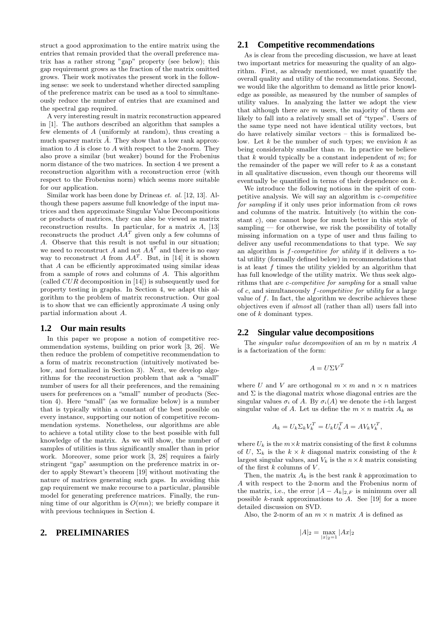struct a good approximation to the entire matrix using the entries that remain provided that the overall preference matrix has a rather strong "gap" property (see below); this gap requirement grows as the fraction of the matrix omitted grows. Their work motivates the present work in the following sense: we seek to understand whether directed sampling of the preference matrix can be used as a tool to simultaneously reduce the number of entries that are examined and the spectral gap required.

A very interesting result in matrix reconstruction appeared in [1]. The authors described an algorithm that samples a few elements of A (uniformly at random), thus creating a much sparser matrix  $\ddot{A}$ . They show that a low rank approximation to  $\tilde{A}$  is close to A with respect to the 2-norm. They also prove a similar (but weaker) bound for the Frobenius norm distance of the two matrices. In section 4 we present a reconstruction algorithm with a reconstruction error (with respect to the Frobenius norm) which seems more suitable for our application.

Similar work has been done by Drineas et. al. [12, 13]. Although these papers assume full knowledge of the input matrices and then approximate Singular Value Decompositions or products of matrices, they can also be viewed as matrix reconstruction results. In particular, for a matrix A, [13] reconstructs the product  $AA<sup>T</sup>$  given only a few columns of A. Observe that this result is not useful in our situation; we need to reconstruct A and not  $AA<sup>T</sup>$  and there is no easy way to reconstruct A from  $AA<sup>T</sup>$ . But, in [14] it is shown that A can be efficiently approximated using similar ideas from a sample of rows and columns of A. This algorithm (called  $CUR$  decomposition in [14]) is subsequently used for property testing in graphs. In Section 4, we adapt this algorithm to the problem of matrix reconstruction. Our goal is to show that we can efficiently approximate A using only partial information about A.

#### **1.2 Our main results**

In this paper we propose a notion of competitive recommendation systems, building on prior work [3, 26]. We then reduce the problem of competitive recommendation to a form of matrix reconstruction (intuitively motivated below, and formalized in Section 3). Next, we develop algorithms for the reconstruction problem that ask a "small" number of users for all their preferences, and the remaining users for preferences on a "small" number of products (Section 4). Here "small" (as we formalize below) is a number that is typically within a constant of the best possible on every instance, supporting our notion of competitive recommendation systems. Nonetheless, our algorithms are able to achieve a total utility close to the best possible with full knowledge of the matrix. As we will show, the number of samples of utilities is thus significantly smaller than in prior work. Moreover, some prior work [3, 28] requires a fairly stringent "gap" assumption on the preference matrix in order to apply Stewart's theorem [19] without motivating the nature of matrices generating such gaps. In avoiding this gap requirement we make recourse to a particular, plausible model for generating preference matrices. Finally, the running time of our algorithm is  $O(mn)$ ; we briefly compare it with previous techniques in Section 4.

# **2. PRELIMINARIES**

## **2.1 Competitive recommendations**

As is clear from the preceding discussion, we have at least two important metrics for measuring the quality of an algorithm. First, as already mentioned, we must quantify the overall quality and utility of the recommendations. Second, we would like the algorithm to demand as little prior knowledge as possible, as measured by the number of samples of utility values. In analyzing the latter we adopt the view that although there are  $m$  users, the majority of them are likely to fall into a relatively small set of "types". Users of the same type need not have identical utility vectors, but do have relatively similar vectors – this is formalized below. Let  $k$  be the number of such types; we envision  $k$  as being considerably smaller than  $m$ . In practice we believe that  $k$  would typically be a constant independent of  $m$ ; for the remainder of the paper we will refer to  $k$  as a constant in all qualitative discussion, even though our theorems will eventually be quantified in terms of their dependence on k.

We introduce the following notions in the spirit of competitive analysis. We will say an algorithm is c-competitive for sampling if it only uses prior information from  $ck$  rows and columns of the matrix. Intuitively (to within the constant c), one cannot hope for much better in this style of sampling — for otherwise, we risk the possibility of totally missing information on a type of user and thus failing to deliver any useful recommendations to that type. We say an algorithm is f-competitive for utility if it delivers a total utility (formally defined below) in recommendations that is at least  $f$  times the utility yielded by an algorithm that has full knowledge of the utility matrix. We thus seek algorithms that are c-competitive for sampling for a small value of  $c$ , and simultaneously  $f$ -competitive for utility for a large value of  $f$ . In fact, the algorithm we describe achieves these objectives even if almost all (rather than all) users fall into one of k dominant types.

### **2.2 Singular value decompositions**

The *singular value decomposition* of an  $m$  by  $n$  matrix  $A$ is a factorization of the form:

$$
A = U\Sigma V^T
$$

where U and V are orthogonal  $m \times m$  and  $n \times n$  matrices and  $\Sigma$  is the diagonal matrix whose diagonal entries are the singular values  $\sigma_i$  of A. By  $\sigma_i(A)$  we denote the *i*-th largest singular value of A. Let us define the  $m \times n$  matrix  $A_k$  as

$$
A_k = U_k \Sigma_k V_k^T = U_k U_k^T A = A V_k V_k^T,
$$

where  $U_k$  is the  $m \times k$  matrix consisting of the first k columns of U,  $\Sigma_k$  is the  $k \times k$  diagonal matrix consisting of the k largest singular values, and  $V_k$  is the  $n \times k$  matrix consisting of the first  $k$  columns of  $V$ .

Then, the matrix  $A_k$  is the best rank k approximation to A with respect to the 2-norm and the Frobenius norm of the matrix, i.e., the error  $|A - A_k|_{2,F}$  is minimum over all possible  $k$ -rank approximations to  $A$ . See [19] for a more detailed discussion on SVD.

Also, the 2-norm of an  $m \times n$  matrix A is defined as

$$
|A|_2 = \max_{|x|_2 = 1} |Ax|_2
$$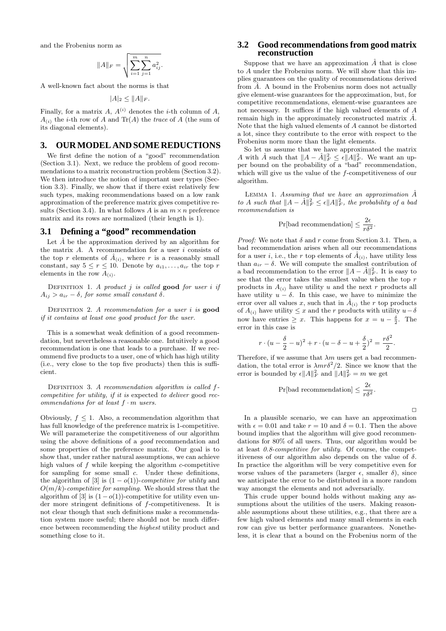and the Frobenius norm as

$$
||A||_F = \sqrt{\sum_{i=1}^m \sum_{j=1}^n a_{ij}^2}.
$$

A well-known fact about the norms is that

$$
|A|_2 \leq ||A||_F.
$$

Finally, for a matrix A,  $A^{(i)}$  denotes the *i*-th column of A,  $A_{(i)}$  the *i*-th row of A and Tr(A) the trace of A (the sum of its diagonal elements).

#### **3. OUR MODEL AND SOME REDUCTIONS**

We first define the notion of a "good" recommendation (Section 3.1). Next, we reduce the problem of good recommendations to a matrix reconstruction problem (Section 3.2). We then introduce the notion of important user types (Section 3.3). Finally, we show that if there exist relatively few such types, making recommendations based on a low rank approximation of the preference matrix gives competitive results (Section 3.4). In what follows A is an  $m \times n$  preference matrix and its rows are normalized (their length is 1).

## **3.1 Defining a "good" recommendation**

Let  $\hat{A}$  be the approximation derived by an algorithm for the matrix  $A$ . A recommendation for a user  $i$  consists of the top r elements of  $\hat{A}_{(i)}$ , where r is a reasonably small constant, say  $5 \leq r \leq 10$ . Denote by  $a_{i1}, \ldots, a_{ir}$  the top r elements in the row  $A_{(i)}$ .

DEFINITION 1. A product  $j$  is called good for user  $i$  if  $A_{ij} > a_{ir} - \delta$ , for some small constant  $\delta$ .

DEFINITION 2. A recommendation for a user  $i$  is **good** if it contains at least one good product for the user.

This is a somewhat weak definition of a good recommendation, but nevertheless a reasonable one. Intuitively a good recommendation is one that leads to a purchase. If we recommend five products to a user, one of which has high utility (i.e., very close to the top five products) then this is sufficient.

DEFINITION 3. A recommendation algorithm is called fcompetitive for utility, if it is expected to deliver good recommendations for at least  $f \cdot m$  users.

Obviously,  $f \leq 1$ . Also, a recommendation algorithm that has full knowledge of the preference matrix is 1-competitive. We will parameterize the competitiveness of our algorithm using the above definitions of a good recommendation and some properties of the preference matrix. Our goal is to show that, under rather natural assumptions, we can achieve high values of f while keeping the algorithm c-competitive for sampling for some small c. Under these definitions, the algorithm of [3] is  $(1 - o(1))$ -competitive for utility and  $O(m/k)$ -competitive for sampling. We should stress that the algorithm of [3] is  $(1 - o(1))$ -competitive for utility even under more stringent definitions of f-competitiveness. It is not clear though that such definitions make a recommendation system more useful; there should not be much difference between recommending the highest utility product and something close to it.

## **3.2 Good recommendations from good matrix reconstruction**

Suppose that we have an approximation  $\hat{A}$  that is close to A under the Frobenius norm. We will show that this implies guarantees on the quality of recommendations derived from  $A$ . A bound in the Frobenius norm does not actually give element-wise guarantees for the approximation, but, for competitive recommendations, element-wise guarantees are not necessary. It suffices if the high valued elements of A remain high in the approximately reconstructed matrix  $\hat{A}$ . Note that the high valued elements of A cannot be distorted a lot, since they contribute to the error with respect to the Frobenius norm more than the light elements.

So let us assume that we have approximated the matrix A with  $\hat{A}$  such that  $||A - \hat{A}||_F^2 \le \epsilon ||A||_F^2$ . We want an upper bound on the probability of a "bad" recommendation, which will give us the value of the  $f$ -competitiveness of our algorithm.

LEMMA 1. Assuming that we have an approximation  $\hat{A}$ to A such that  $||A - \hat{A}||_F^2 \leq \epsilon ||A||_F^2$ , the probability of a bad recommendation is

$$
\Pr[\text{bad recommendation}] \le \frac{2\epsilon}{r\delta^2}.
$$

*Proof:* We note that  $\delta$  and  $r$  come from Section 3.1. Then, a bad recommendation arises when all our recommendations for a user *i*, i.e., the *r* top elements of  $\hat{A}_{(i)}$ , have utility less than  $a_{ir} - \delta$ . We will compute the smallest contribution of a bad recommendation to the error  $||A - \hat{A}||_F^2$ . It is easy to see that the error takes the smallest value when the top  $r$ products in  $A_{(i)}$  have utility u and the next r products all have utility  $u - \delta$ . In this case, we have to minimize the error over all values x, such that in  $\hat{A}_{(i)}$  the r top products of  $A_{(i)}$  have utility  $\leq x$  and the r products with utility  $u-\delta$ now have entries  $\geq x$ . This happens for  $x = u - \frac{\delta}{2}$ . The error in this case is

$$
r \cdot (u - \frac{\delta}{2} - u)^2 + r \cdot (u - \delta - u + \frac{\delta}{2})^2 = \frac{r\delta^2}{2}.
$$

Therefore, if we assume that  $\lambda m$  users get a bad recommendation, the total error is  $\lambda m r \delta^2/2$ . Since we know that the error is bounded by  $\epsilon ||A||_F^2$  and  $||A||_F^2 = m$  we get

$$
\Pr[\text{bad recommendation}] \leq \frac{2\epsilon}{r\delta^2}.
$$

In a plausible scenario, we can have an approximation with  $\epsilon = 0.01$  and take  $r = 10$  and  $\delta = 0.1$ . Then the above bound implies that the algorithm will give good recommendations for 80% of all users. Thus, our algorithm would be at least 0.8-competitive for utility. Of course, the competitiveness of our algorithm also depends on the value of  $\delta$ . In practice the algorithm will be very competitive even for worse values of the parameters (larger  $\epsilon$ , smaller  $\delta$ ), since we anticipate the error to be distributed in a more random way amongst the elements and not adversarially.

This crude upper bound holds without making any assumptions about the utilities of the users. Making reasonable assumptions about these utilities, e.g., that there are a few high valued elements and many small elements in each row can give us better performance guarantees. Nonetheless, it is clear that a bound on the Frobenius norm of the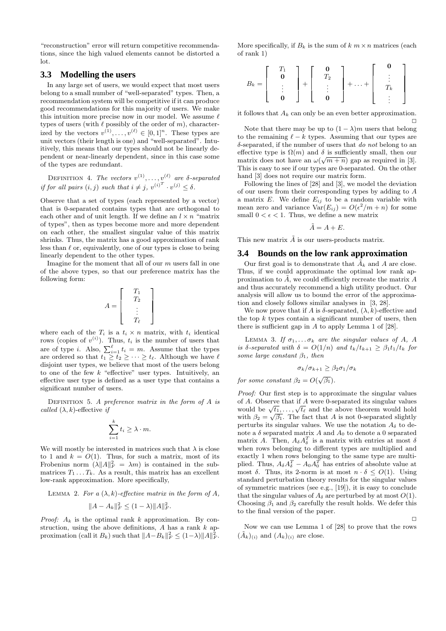"reconstruction" error will return competitive recommendations, since the high valued elements cannot be distorted a lot.

#### **3.3 Modelling the users**

In any large set of users, we would expect that most users belong to a small number of "well-separated" types. Then, a recommendation system will be competitive if it can produce good recommendations for this majority of users. We make this intuition more precise now in our model. We assume  $\ell$ types of users (with  $\ell$  possibly of the order of m), characterized by the vectors  $v^{(1)}, \ldots, v^{(\ell)} \in [0,1]^n$ . These types are unit vectors (their length is one) and "well-separated". Intuitively, this means that our types should not be linearly dependent or near-linearly dependent, since in this case some of the types are redundant.

DEFINITION 4. The vectors  $v^{(1)}, \ldots, v^{(\ell)}$  are  $\delta$ -separated if for all pairs  $(i, j)$  such that  $i \neq j$ ,  $v^{(i)^T} \cdot v^{(j)} \leq \delta$ .

Observe that a set of types (each represented by a vector) that is 0-separated contains types that are orthogonal to each other and of unit length. If we define an  $l \times n$  "matrix of types", then as types become more and more dependent on each other, the smallest singular value of this matrix shrinks. Thus, the matrix has a good approximation of rank less than  $\ell$  or, equivalently, one of our types is close to being linearly dependent to the other types.

Imagine for the moment that all of our  $m$  users fall in one of the above types, so that our preference matrix has the following form:

$$
A = \left[ \begin{array}{c} T_1 \\ T_2 \\ \vdots \\ T_\ell \end{array} \right]
$$

where each of the  $T_i$  is a  $t_i \times n$  matrix, with  $t_i$  identical rows (copies of  $v^{(i)}$ ). Thus,  $t_i$  is the number of users that are of type *i*. Also,  $\sum_{i=1}^{\ell} t_i = m$ . Assume that the types are ordered so that  $t_1 \geq t_2 \geq \cdots \geq t_{\ell}$ . Although we have  $\ell$ disjoint user types, we believe that most of the users belong to one of the few  $k$  "effective" user types. Intuitively, an effective user type is defined as a user type that contains a significant number of users.

DEFINITION 5. A preference matrix in the form of  $A$  is called  $(\lambda, k)$ -effective if

$$
\sum_{i=1}^k t_i \geq \lambda \cdot m.
$$

We will mostly be interested in matrices such that  $\lambda$  is close to 1 and  $k = O(1)$ . Thus, for such a matrix, most of its Frobenius norm  $(\lambda \|A\|_F^2 = \lambda m)$  is contained in the submatrices  $T_1 \ldots T_k$ . As a result, this matrix has an excellent low-rank approximation. More specifically,

LEMMA 2. For a 
$$
(\lambda, k)
$$
-effective matrix in the form of A,  

$$
||A - A_k||_F^2 \le (1 - \lambda) ||A||_F^2.
$$

*Proof:*  $A_k$  is the optimal rank k approximation. By construction, using the above definitions,  $A$  has a rank  $k$  approximation (call it  $B_k$ ) such that  $||A-B_k||_F^2 \leq (1-\lambda) ||A||_F^2$ .

More specifically, if  $B_k$  is the sum of  $k \, m \times n$  matrices (each of rank 1)

$$
B_k = \left[ \begin{array}{c} T_1 \\ \mathbf{0} \\ \vdots \\ \mathbf{0} \end{array} \right] + \left[ \begin{array}{c} \mathbf{0} \\ T_2 \\ \vdots \\ \mathbf{0} \end{array} \right] + \ldots + \left[ \begin{array}{c} \mathbf{0} \\ \vdots \\ T_k \\ \vdots \end{array} \right]
$$

it follows that  $A_k$  can only be an even better approximation.  $\Box$ 

Note that there may be up to  $(1 - \lambda)m$  users that belong to the remaining  $\ell - k$  types. Assuming that our types are  $\delta$ -separated, if the number of users that *do not* belong to an effective type is  $\Omega(m)$  and  $\delta$  is sufficiently small, then our matrix does not have an  $\omega(\sqrt{m+n})$  gap as required in [3]. This is easy to see if our types are 0-separated. On the other hand [3] does not require our matrix form.

Following the lines of [28] and [3], we model the deviation of our users from their corresponding types by adding to A a matrix  $E$ . We define  $E_{ij}$  to be a random variable with mean zero and variance  $Var(E_{ij}) = O(\epsilon^2/m + n)$  for some small  $0 < \epsilon < 1$ . Thus, we define a new matrix

$$
\tilde{A} = A + E.
$$

This new matrix  $\tilde{A}$  is our users-products matrix.

#### **3.4 Bounds on the low rank approximation**

Our first goal is to demonstrate that  $\tilde{A}_k$  and A are close. Thus, if we could approximate the optimal low rank approximation to  $\tilde{A}$ , we could efficiently recreate the matrix  $A$ and thus accurately recommend a high utility product. Our analysis will allow us to bound the error of the approximation and closely follows similar analyses in [3, 28].

We now prove that if A is  $\delta$ -separated,  $(\lambda, k)$ -effective and the top  $k$  types contain a significant number of users, then there is sufficient gap in  $A$  to apply Lemma 1 of  $[28]$ .

LEMMA 3. If  $\sigma_1, \ldots, \sigma_k$  are the singular values of A, A is  $\delta$ -separated with  $\delta = O(1/n)$  and  $t_k/t_{k+1} \geq \beta_1 t_1/t_k$  for some large constant  $\beta_1$ , then

$$
\sigma_k/\sigma_{k+1} \geq \beta_2 \sigma_1/\sigma_k
$$

for some constant  $\beta_2 = O(\sqrt{\beta_1}).$ 

Proof: Our first step is to approximate the singular values of A. Observe that if A were 0-separated its singular values or A. Observe that if A were 0-separated its singular values<br>would be  $\sqrt{t_1}, \ldots, \sqrt{t_\ell}$  and the above theorem would hold would be  $\sqrt{t_1}, \dots, \sqrt{t_\ell}$  and the above theorem would hold<br>with  $\beta_2 = \sqrt{\beta_1}$ . The fact that A is not 0-separated slightly perturbs its singular values. We use the notation  $A_{\delta}$  to denote a  $\delta$  separated matrix A and  $A_0$  to denote a 0 separated matrix A. Then,  $A_{\delta}A_{\delta}^T$  is a matrix with entries at most  $\delta$ when rows belonging to different types are multiplied and exactly 1 when rows belonging to the same type are multiplied. Thus,  $A_{\delta} A_{\delta}^T - A_0 A_0^T$  has entries of absolute value at most  $\delta$ . Thus, its 2-norm is at most  $n \cdot \delta \leq O(1)$ . Using standard perturbation theory results for the singular values of symmetric matrices (see e.g., [19]), it is easy to conclude that the singular values of  $A_\delta$  are perturbed by at most  $O(1)$ . Choosing  $\beta_1$  and  $\beta_2$  carefully the result holds. We defer this to the final version of the paper.

Now we can use Lemma 1 of [28] to prove that the rows  $(A_k)_{(i)}$  and  $(A_k)_{(i)}$  are close.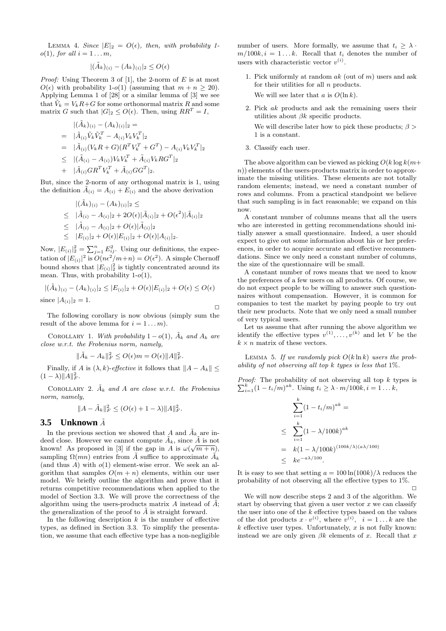LEMMA 4. Since  $|E|_2 = O(\epsilon)$ , then, with probability 1 $o(1)$ , for all  $i = 1 \ldots m$ ,

$$
|(\tilde{A}_k)_{(i)} - (A_k)_{(i)}|_2 \leq O(\epsilon)
$$

*Proof:* Using Theorem 3 of [1], the 2-norm of  $E$  is at most  $O(\epsilon)$  with probability 1-o(1) (assuming that  $m + n \geq 20$ ). Applying Lemma 1 of [28] or a similar lemma of [3] we see that  $\tilde{V}_k = V_k R + G$  for some orthonormal matrix R and some matrix G such that  $|G|_2 \leq O(\epsilon)$ . Then, using  $RR^T = I$ ,

$$
\begin{aligned}\n|(\tilde{A}_k)_{(i)} - (A_k)_{(i)}|_2 &= \\
&= |\tilde{A}_{(i)} \tilde{V}_k \tilde{V}_k^T - A_{(i)} V_k V_k^T|_2 \\
&= |\tilde{A}_{(i)} (V_k R + G) (R^T V_k^T + G^T) - A_{(i)} V_k V_k^T|_2 \\
&\leq |(\tilde{A}_{(i)} - A_{(i)}) V_k V_k^T + \tilde{A}_{(i)} V_k R G^T|_2 \\
&+ |\tilde{A}_{(i)} G R^T V_k^T + \tilde{A}_{(i)} G G^T|_2.\n\end{aligned}
$$

But, since the 2-norm of any orthogonal matrix is 1, using the definition  $\tilde{A}_{(i)} = A_{(i)} + E_{(i)}$  and the above derivation

$$
|(\tilde{A}_k)_{(i)} - (A_k)_{(i)}|_2 \le
$$
  
\n
$$
\leq |\tilde{A}_{(i)} - A_{(i)}|_2 + 2O(\epsilon)|\tilde{A}_{(i)}|_2 + O(\epsilon^2)|\tilde{A}_{(i)}|_2
$$
  
\n
$$
\leq |\tilde{A}_{(i)} - A_{(i)}|_2 + O(\epsilon)|\tilde{A}_{(i)}|_2
$$
  
\n
$$
\leq |E_{(i)}|_2 + O(\epsilon)|E_{(i)}|_2 + O(\epsilon)|A_{(i)}|_2.
$$

Now,  $|E_{(i)}|^2 = \sum_{j=1}^n E_{ij}^2$ . Using our definitions, the expectation of  $|E_{(i)}|^2$  is  $O(n\epsilon^2/m+n) = O(\epsilon^2)$ . A simple Chernoff bound shows that  $|E_{(i)}|^2$  is tightly concentrated around its mean. Thus, with probability  $1-o(1)$ ,

$$
|(\tilde{A}_k)_{(i)} - (A_k)_{(i)}|_2 \le |E_{(i)}|_2 + O(\epsilon)|E_{(i)}|_2 + O(\epsilon) \le O(\epsilon)
$$
  
since  $|A_{(i)}|_2 = 1$ .

The following corollary is now obvious (simply sum the result of the above lemma for  $i = 1 \dots m$ .

COROLLARY 1. With probability  $1 - o(1)$ ,  $\tilde{A}_k$  and  $A_k$  are close w.r.t. the Frobenius norm, namely,

$$
\|\tilde{A}_k - A_k\|_F^2 \le O(\epsilon)m = O(\epsilon)\|A\|_F^2.
$$

Finally, if A is  $(\lambda, k)$ -effective it follows that  $||A - A_k|| \le$  $(1 - \lambda) \|A\|_F^2.$ 

COROLLARY 2.  $\tilde{A}_k$  and A are close w.r.t. the Frobenius norm, namely,

$$
||A - \tilde{A}_k||_F^2 \le (O(\epsilon) + 1 - \lambda) ||A||_F^2.
$$

## **3.5 Unknown**  $\tilde{A}$

In the previous section we showed that A and  $\tilde{A}_k$  are indeed close. However we cannot compute  $\tilde{A}_k$ , since  $\tilde{A}$  is not known! As proposed in [3] if the gap in A is  $\omega(\sqrt{m+n})$ , sampling  $\Omega(mn)$  entries from  $\tilde{A}$  suffice to approximate  $\tilde{A}_k$ (and thus A) with  $o(1)$  element-wise error. We seek an algorithm that samples  $O(m + n)$  elements, within our user model. We briefly outline the algorithm and prove that it returns competitive recommendations when applied to the model of Section 3.3. We will prove the correctness of the algorithm using the users-products matrix A instead of  $\tilde{A}$ ; the generalization of the proof to  $\tilde{A}$  is straight forward.

In the following description  $k$  is the number of effective types, as defined in Section 3.3. To simplify the presentation, we assume that each effective type has a non-negligible

number of users. More formally, we assume that  $t_i \geq \lambda$ .  $m/100k, i = 1...k$ . Recall that  $t_i$  denotes the number of users with characteristic vector  $v^{(i)}$ .

- 1. Pick uniformly at random  $ak$  (out of  $m$ ) users and ask for their utilities for all  $n$  products. We will see later that a is  $O(\ln k)$ .
- 2. Pick ak products and ask the remaining users their utilities about  $\beta k$  specific products.

We will describe later how to pick these products;  $\beta$ 1 is a constant.

3. Classify each user.

The above algorithm can be viewed as picking  $O(k \log k(m+1))$  $n)$ ) elements of the users-products matrix in order to approximate the missing utilities. These elements are not totally random elements; instead, we need a constant number of rows and columns. From a practical standpoint we believe that such sampling is in fact reasonable; we expand on this now.

A constant number of columns means that all the users who are interested in getting recommendations should initially answer a small questionnaire. Indeed, a user should expect to give out some information about his or her preferences, in order to acquire accurate and effective recommendations. Since we only need a constant number of columns, the size of the questionnaire will be small.

A constant number of rows means that we need to know the preferences of a few users on all products. Of course, we do not expect people to be willing to answer such questionnaires without compensation. However, it is common for companies to test the market by paying people to try out their new products. Note that we only need a small number of very typical users.

Let us assume that after running the above algorithm we identify the effective types  $v^{(1)}, \ldots, v^{(k)}$  and let V be the  $k \times n$  matrix of these vectors.

LEMMA 5. If we randomly pick  $O(k \ln k)$  users the probability of not observing all top  $k$  types is less that  $1\%$ .

Proof: The probability of not observing all top k types is  $\sum_{i=1}^{k} (1 - t_i/m)^{ak}$ . Using  $t_i \ge \lambda \cdot m/100k$ ,  $i = 1...k$ ,

$$
\sum_{i=1}^{k} (1 - t_i/m)^{ak} =
$$
\n
$$
\leq \sum_{i=1}^{k} (1 - \lambda/100k)^{ak}
$$
\n
$$
= k(1 - \lambda/100k)^{(100k/\lambda)(a\lambda/100)}
$$
\n
$$
\leq ke^{-a\lambda/100}.
$$

It is easy to see that setting  $a = 100 \ln(100k)/\lambda$  reduces the probability of not observing all the effective types to 1%.  $\Box$ 

We will now describe steps 2 and 3 of the algorithm. We start by observing that given a user vector  $x$  we can classify the user into one of the  $k$  effective types based on the values of the dot products  $x \cdot v^{(i)}$ , where  $v^{(i)}$ ,  $i = 1...k$  are the  $k$  effective user types. Unfortunately,  $x$  is not fully known: instead we are only given  $\beta k$  elements of x. Recall that x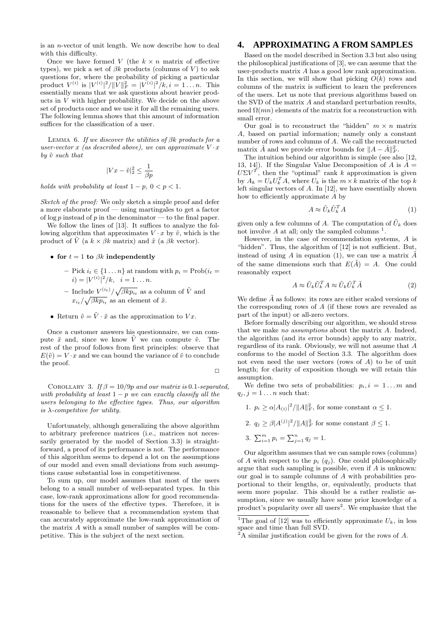is an n-vector of unit length. We now describe how to deal with this difficulty.

Once we have formed V (the  $k \times n$  matrix of effective types), we pick a set of  $\beta k$  products (columns of V) to ask questions for, where the probability of picking a particular product  $V^{(i)}$  is  $|V^{(i)}|^2/||\bar{V}||_F^2 = |V^{(i)}|^2/k, i = 1...n$ . This essentially means that we ask questions about heavier products in V with higher probability. We decide on the above set of products once and we use it for all the remaining users. The following lemma shows that this amount of information suffices for the classification of a user.

LEMMA 6. If we discover the utilities of  $\beta k$  products for a user-vector x (as described above), we can approximate  $V \cdot x$ by  $\tilde{v}$  such that

$$
|Vx - \tilde{v}|_2^2 \le \frac{1}{\beta p}
$$

holds with probability at least  $1 - p$ ,  $0 < p < 1$ .

Sketch of the proof: We only sketch a simple proof and defer a more elaborate proof — using martingales to get a factor of  $\log p$  instead of p in the denominator — to the final paper.

We follow the lines of [13]. It suffices to analyze the following algorithm that approximates  $V \cdot x$  by  $\tilde{v}$ , which is the product of  $\tilde{V}$  (a  $k \times \beta k$  matrix) and  $\tilde{x}$  (a  $\beta k$  vector).

#### • for  $t = 1$  to  $\beta k$  independently

- Pick  $i_t \in \{1 \dots n\}$  at random with  $p_i = \text{Prob}(i_t =$  $i) = |V^{(i)}|^2 / k, \quad i = 1 \dots n.$ - Include  $V^{(i_t)} / \sqrt{\beta k p_{i_t}}$  as a column of  $\tilde{V}$  and
	- $x_{i_t}/\sqrt{\beta k p_{i_t}}$  as an element of  $\tilde{x}$ .
- Return  $\tilde{v} = \tilde{V} \cdot \tilde{x}$  as the approximation to  $V x$ .

Once a customer answers his questionnaire, we can compute  $\tilde{x}$  and, since we know  $\tilde{V}$  we can compute  $\tilde{v}$ . The rest of the proof follows from first principles: observe that  $E(\tilde{v}) = V \cdot x$  and we can bound the variance of  $\tilde{v}$  to conclude the proof.

 $\Box$ 

COROLLARY 3. If  $\beta = 10/9p$  and our matrix is 0.1-separated, with probability at least  $1 - p$  we can exactly classify all the users belonging to the effective types. Thus, our algorithm is  $\lambda$ -competitive for utility.

Unfortunately, although generalizing the above algorithm to arbitrary preference matrices (i.e., matrices not necessarily generated by the model of Section 3.3) is straightforward, a proof of its performance is not. The performance of this algorithm seems to depend a lot on the assumptions of our model and even small deviations from such assumptions cause substantial loss in competitiveness.

To sum up, our model assumes that most of the users belong to a small number of well-separated types. In this case, low-rank approximations allow for good recommendations for the users of the effective types. Therefore, it is reasonable to believe that a recommendation system that can accurately approximate the low-rank approximation of the matrix A with a small number of samples will be competitive. This is the subject of the next section.

# **4. APPROXIMATING A FROM SAMPLES**

Based on the model described in Section 3.3 but also using the philosophical justifications of [3], we can assume that the user-products matrix A has a good low rank approximation. In this section, we will show that picking  $O(k)$  rows and columns of the matrix is sufficient to learn the preferences of the users. Let us note that previous algorithms based on the SVD of the matrix A and standard perturbation results, need  $\Omega(mn)$  elements of the matrix for a reconstruction with small error.

Our goal is to reconstruct the "hidden"  $m \times n$  matrix A, based on partial information; namely only a constant number of rows and columns of A. We call the reconstructed matrix  $\hat{A}$  and we provide error bounds for  $||A - \hat{A}||_F^2$ .

The intuition behind our algorithm is simple (see also [12, 13, 14]). If the Singular Value Decomposition of A is  $A =$  $U \Sigma V^{\vec T}$  $\overline{T}$ , then the "optimal" rank k approximation is given by  $A_k = U_k U_k^T A$ , where  $U_k$  is the  $m \times k$  matrix of the top k left singular vectors of A. In [12], we have essentially shown how to efficiently approximate A by

$$
A \approx \tilde{U}_k \tilde{U}_k^T A \tag{1}
$$

given only a few columns of A. The computation of  $\tilde{U}_k$  does not involve  $A$  at all; only the sampled columns<sup>1</sup>.

However, in the case of recommendation systems, A is "hidden". Thus, the algorithm of [12] is not sufficient. But, instead of using A in equation (1), we can use a matrix  $\tilde{A}$ of the same dimensions such that  $E(\tilde{A}) = A$ . One could reasonably expect

$$
A \approx \tilde{U}_k \tilde{U}_k^T A \approx \tilde{U}_k \tilde{U}_k^T \tilde{A}
$$
 (2)

We define  $\tilde{A}$  as follows: its rows are either scaled versions of the corresponding rows of  $A$  (if these rows are revealed as part of the input) or all-zero vectors.

Before formally describing our algorithm, we should stress that we make no assumptions about the matrix A. Indeed, the algorithm (and its error bounds) apply to any matrix, regardless of its rank. Obviously, we will not assume that A conforms to the model of Section 3.3. The algorithm does not even need the user vectors (rows of A) to be of unit length; for clarity of exposition though we will retain this assumption.

We define two sets of probabilities:  $p_i, i = 1...m$  and  $q_i, j = 1 \dots n$  such that:

- 1.  $p_i \geq \alpha |A_{(i)}|^2 / ||A||_F^2$ , for some constant  $\alpha \leq 1$ .
- 2.  $q_j \geq \beta |A^{(j)}|^2 / ||A||_F^2$  for some constant  $\beta \leq 1$ .

3. 
$$
\sum_{i=1}^{m} p_i = \sum_{j=1}^{n} q_j = 1.
$$

Our algorithm assumes that we can sample rows (columns) of A with respect to the  $p_i$   $(q_j)$ . One could philosophically argue that such sampling is possible, even if A is unknown: our goal is to sample columns of A with probabilities proportional to their lengths, or, equivalently, products that seem more popular. This should be a rather realistic assumption, since we usually have some prior knowledge of a product's popularity over all users<sup>2</sup>. We emphasize that the

<sup>&</sup>lt;sup>1</sup>The goal of [12] was to efficiently approximate  $U_k$ , in less space and time than full SVD.

 ${}^{2}$ A similar justification could be given for the rows of A.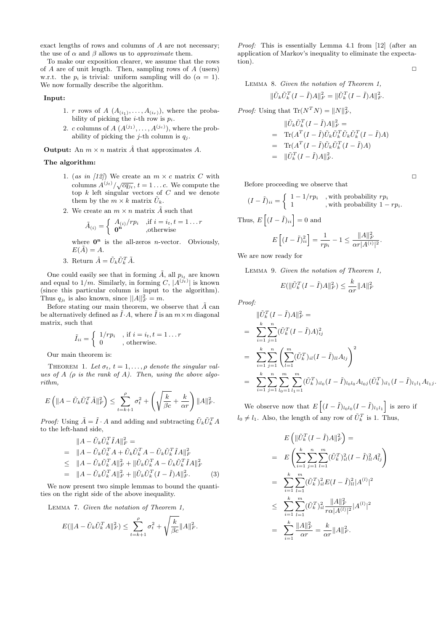exact lengths of rows and columns of A are not necessary; the use of  $\alpha$  and  $\beta$  allows us to *approximate* them.

To make our exposition clearer, we assume that the rows of  $A$  are of unit length. Then, sampling rows of  $A$  (users) w.r.t. the  $p_i$  is trivial: uniform sampling will do  $(\alpha = 1)$ . We now formally describe the algorithm.

Input:

- 1. r rows of A  $(A_{(i_1)},...,A_{(i_r)})$ , where the probability of picking the *i*-th row is  $p_i$ .
- 2. c columns of  $A(A^{(j_1)},...,A^{(j_c)})$ , where the probability of picking the *j*-th column is  $q_i$ .

**Output:** An  $m \times n$  matrix  $\hat{A}$  that approximates  $A$ .

#### The algorithm:

- 1. (as in [12]) We create an  $m \times c$  matrix C with columns  $A^{(j_t)}/\sqrt{cq_{j_t}}, t = 1...c$ . We compute the top k left singular vectors of C and we denote them by the  $m \times k$  matrix  $\tilde{U}_k$ .
- 2. We create an  $m \times n$  matrix  $\tilde{A}$  such that

$$
\tilde{A}_{(i)} = \begin{cases}\nA_{(i)}/rp_i & \text{,if } i = i_t, t = 1 \dots r \\
\mathbf{0}^{\mathbf{n}} & \text{,otherwise}\n\end{cases}
$$

where  $\mathbf{0}^n$  is the all-zeros *n*-vector. Obviously,  $E(\tilde{A}) = A.$ 

3. Return  $\hat{A} = \tilde{U}_k \tilde{U}_k^T \tilde{A}$ .

One could easily see that in forming  $\tilde{A}$ , all  $p_{i}$  are known and equal to  $1/m$ . Similarly, in forming C,  $|A^{(j_t)}|$  is known (since this particular column is input to the algorithm). Thus  $q_{j_t}$  is also known, since  $||A||_F^2 = m$ .

Before stating our main theorem, we observe that  $\tilde{A}$  can be alternatively defined as  $\tilde{I} \cdot A$ , where  $\tilde{I}$  is an  $m \times m$  diagonal matrix, such that

$$
\tilde{I}_{ii} = \begin{cases} 1/rp_i, & \text{if } i = i_t, t = 1 \dots r \\ 0, & \text{otherwise.} \end{cases}
$$

Our main theorem is:

THEOREM 1. Let  $\sigma_t$ ,  $t = 1, \ldots, \rho$  denote the singular values of A ( $\rho$  is the rank of A). Then, using the above algorithm,

$$
E\left(\left\|A-\tilde{U}_k\tilde{U}_k^T\tilde{A}\right\|_F^2\right)\leq \sum_{t=k+1}^{\rho}\sigma_t^2+\left(\sqrt{\frac{k}{\beta c}}+\frac{k}{\alpha r}\right)\left\|A\right\|_F^2.
$$

*Proof:* Using  $\tilde{A} = \tilde{I} \cdot A$  and adding and subtracting  $\tilde{U}_k \tilde{U}_k^T A$ to the left-hand side,

$$
||A - \tilde{U}_k \tilde{U}_k^T \tilde{I}A||_F^2 =
$$
  
= 
$$
||A - \tilde{U}_k \tilde{U}_k^T A + \tilde{U}_k \tilde{U}_k^T A - \tilde{U}_k \tilde{U}_k^T \tilde{I}A||_F^2
$$
  

$$
\leq ||A - \tilde{U}_k \tilde{U}_k^T A||_F^2 + ||\tilde{U}_k \tilde{U}_k^T A - \tilde{U}_k \tilde{U}_k^T \tilde{I}A||_F^2
$$
  
= 
$$
||A - \tilde{U}_k \tilde{U}_k^T A||_F^2 + ||\tilde{U}_k \tilde{U}_k^T (I - \tilde{I})A||_F^2.
$$
 (3)

We now present two simple lemmas to bound the quantities on the right side of the above inequality.

Lemma 7. Given the notation of Theorem 1,

$$
E(||A - \tilde{U}_k \tilde{U}_k^T A||_F^2) \le \sum_{t=k+1}^{\rho} \sigma_t^2 + \sqrt{\frac{k}{\beta c}} ||A||_F^2.
$$

Proof: This is essentially Lemma 4.1 from [12] (after an application of Markov's inequality to eliminate the expectation).  $\Box$ 

Lemma 8. Given the notation of Theorem 1,

$$
\|\tilde{U}_k \tilde{U}_k^T (I - \tilde{I})A\|_F^2 = \|\tilde{U}_k^T (I - \tilde{I})A\|_F^2.
$$

*Proof:* Using that  $\text{Tr}(N^T N) = ||N||_F^2$ ,

$$
\begin{aligned}\n\|\tilde{U}_k \tilde{U}_k^T (I - \tilde{I})A\|_F^2 &= \\
&= \text{Tr}(A^T (I - \tilde{I}) \tilde{U}_k \tilde{U}_k^T \tilde{U}_k \tilde{U}_k^T (I - \tilde{I})A) \\
&= \text{Tr}(A^T (I - \tilde{I}) \tilde{U}_k \tilde{U}_k^T (I - \tilde{I})A) \\
&= \|\tilde{U}_k^T (I - \tilde{I})A\|_F^2.\n\end{aligned}
$$

Before proceeding we observe that

$$
(I - \tilde{I})_{ii} = \begin{cases} 1 - 1/rp_i & , \text{with probability } rp_i \\ 1 & , \text{with probability } 1 - rp_i. \end{cases}
$$
  
Thus,  $E\left[ (I - \tilde{I})_{ii} \right] = 0$  and

$$
E\left[ (I - \tilde{I})_{ii}^{2} \right] = \frac{1}{rp_i} - 1 \le \frac{\|A\|_F^2}{\alpha r |A^{(i)}|^2}.
$$

We are now ready for

Lemma 9. Given the notation of Theorem 1,

$$
E(||\tilde{U}_k^T(I - \tilde{I})A||_F^2) \le \frac{k}{\alpha r} ||A||_F^2
$$

Proof:

$$
\|\tilde{U}_{k}^{T}(I-\tilde{I})A\|_{F}^{2} =
$$
\n
$$
= \sum_{i=1}^{k} \sum_{j=1}^{n} (\tilde{U}_{k}^{T}(I-\tilde{I})A)_{ij}^{2}
$$
\n
$$
= \sum_{i=1}^{k} \sum_{j=1}^{n} \left( \sum_{l=1}^{m} (\tilde{U}_{k}^{T})_{il} (I-\tilde{I})_{ll} A_{lj} \right)^{2}
$$
\n
$$
= \sum_{i=1}^{k} \sum_{j=1}^{n} \sum_{l_{0}=1}^{m} \sum_{l_{1}=1}^{m} (\tilde{U}_{k}^{T})_{il_{0}} (I-\tilde{I})_{l_{0}l_{0}} A_{l_{0}j} (\tilde{U}_{k}^{T})_{il_{1}} (I-\tilde{I})_{l_{1}l_{1}} A_{l_{1}j}.
$$

We observe now that  $E\left[ (I - \tilde{I})_{l_0 l_0} (I - \tilde{I})_{l_1 l_1} \right]$  is zero if  $l_0 \neq l_1$ . Also, the length of any row of  $\tilde{U}_k^T$  is 1. Thus,

$$
E\left(\|\tilde{U}_{k}^{T}(I-\tilde{I})A\|_{F}^{2}\right) =
$$
\n
$$
= E\left(\sum_{i=1}^{k} \sum_{j=1}^{n} \sum_{l=1}^{m} (\tilde{U}_{k}^{T})_{il}^{2}(I-\tilde{I})_{l}^{2} A_{lj}^{2}\right)
$$
\n
$$
= \sum_{i=1}^{k} \sum_{l=1}^{m} (\tilde{U}_{k}^{T})_{il}^{2} E(I-\tilde{I})_{ll}^{2} |A^{(l)}|^{2}
$$
\n
$$
\leq \sum_{i=1}^{k} \sum_{l=1}^{m} (\tilde{U}_{k}^{T})_{il}^{2} \frac{||A||_{F}^{2}}{r\alpha|A^{(l)}|^{2}} |A^{(l)}|^{2}
$$
\n
$$
= \sum_{i=1}^{k} \frac{||A||_{F}^{2}}{\alpha r} = \frac{k}{\alpha r} ||A||_{F}^{2}.
$$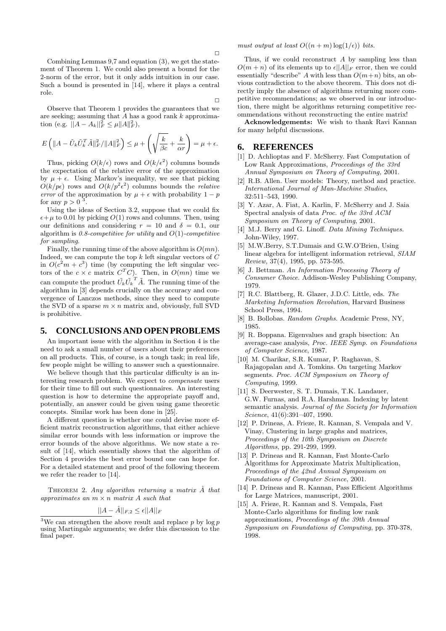Combining Lemmas 9,7 and equation (3), we get the statement of Theorem 1. We could also present a bound for the 2-norm of the error, but it only adds intuition in our case. Such a bound is presented in [14], where it plays a central role.

Observe that Theorem 1 provides the guarantees that we are seeking; assuming that  $A$  has a good rank  $k$  approximation (e.g.  $||A - A_k||_F^2 \leq \mu ||A||_F^2$ ),

$$
E\left(\|A-\tilde{U}_k\tilde{U}_k^T\tilde{A}\|^2_F/\|A\|^2_F\right)\leq \mu+\left(\sqrt{\frac{k}{\beta c}}+\frac{k}{\alpha r}\right)=\mu+\epsilon.
$$

Thus, picking  $O(k/\epsilon)$  rows and  $O(k/\epsilon^2)$  columns bounds the expectation of the relative error of the approximation by  $\mu + \epsilon$ . Using Markov's inequality, we see that picking  $O(k/p\epsilon)$  rows and  $O(k/p^2\epsilon^2)$  columns bounds the *relative* error of the approximation by  $\mu + \epsilon$  with probability  $1 - p$ for any  $p > 0$ <sup>3</sup> .

Using the ideas of Section 3.2, suppose that we could fix  $\epsilon+\mu$  to 0.01 by picking  $O(1)$  rows and columns. Then, using our definitions and considering  $r = 10$  and  $\delta = 0.1$ , our algorithm is  $0.8$ -competitive for utility and  $O(1)$ -competitive for sampling.

Finally, the running time of the above algorithm is  $O(mn)$ . Indeed, we can compute the top  $k$  left singular vectors of  $C$ in  $O(c^2m + c^3)$  time (by computing the left singular vectors of the  $c \times c$  matrix  $C^{T}C$ . Then, in  $O(mn)$  time we can compute the product  $\tilde{U_k} \tilde{U_k}^T \tilde{A}$ . The running time of the algorithm in [3] depends crucially on the accuracy and convergence of Lanczos methods, since they need to compute the SVD of a sparse  $m \times n$  matrix and, obviously, full SVD is prohibitive.

#### **5. CONCLUSIONS AND OPEN PROBLEMS**

An important issue with the algorithm in Section 4 is the need to ask a small number of users about their preferences on all products. This, of course, is a tough task; in real life, few people might be willing to answer such a questionnaire.

We believe though that this particular difficulty is an interesting research problem. We expect to compensate users for their time to fill out such questionnaires. An interesting question is how to determine the appropriate payoff and, potentially, an answer could be given using game theoretic concepts. Similar work has been done in [25].

A different question is whether one could devise more efficient matrix reconstruction algorithms, that either achieve similar error bounds with less information or improve the error bounds of the above algorithms. We now state a result of [14], which essentially shows that the algorithm of Section 4 provides the best error bound one can hope for. For a detailed statement and proof of the following theorem we refer the reader to [14].

THEOREM 2. Any algorithm returning a matrix  $\hat{A}$  that approximates an  $m \times n$  matrix A such that

$$
||A - \hat{A}||_{F,2} \le \epsilon ||A||_F
$$

must output at least  $O((n+m)\log(1/\epsilon))$  bits.

Thus, if we could reconstruct A by sampling less than  $O(m+n)$  of its elements up to  $\epsilon ||A||_F$  error, then we could essentially "describe" A with less than  $O(m+n)$  bits, an obvious contradiction to the above theorem. This does not directly imply the absence of algorithms returning more competitive recommendations; as we observed in our introduction, there might be algorithms returning competitive recommendations without reconstructing the entire matrix!

Acknowledgements: We wish to thank Ravi Kannan for many helpful discussions.

### **6. REFERENCES**

 $\Box$ 

- [1] D. Achlioptas and F. McSherry. Fast Computation of Low Rank Approximations, Proceedings of the 33rd Annual Symposium on Theory of Computing, 2001.
- [2] R.B. Allen. User models: Theory, method and practice. International Journal of Man-Machine Studies, 32:511–543, 1990.
- [3] Y. Azar, A. Fiat, A. Karlin, F. McSherry and J. Saia Spectral analysis of data Proc. of the 33rd ACM Symposium on Theory of Computing, 2001.
- [4] M.J. Berry and G. Linoff. Data Mining Techniques. John-Wiley, 1997.
- [5] M.W.Berry, S.T.Dumais and G.W.O'Brien, Using linear algebra for intelligent information retrieval, SIAM Review, 37(4), 1995, pp. 573-595.
- [6] J. Bettman. An Information Processing Theory of Consumer Choice. Addison-Wesley Publishing Company, 1979.
- [7] R.C. Blattberg, R. Glazer, J.D.C. Little, eds. The Marketing Information Revolution, Harvard Business School Press, 1994.
- [8] B. Bollobas. Random Graphs. Academic Press, NY, 1985.
- [9] R. Boppana. Eigenvalues and graph bisection: An average-case analysis, Proc. IEEE Symp. on Foundations of Computer Science, 1987.
- [10] M. Charikar, S.R. Kumar, P. Raghavan, S. Rajagopalan and A. Tomkins. On targeting Markov segments. Proc. ACM Symposium on Theory of Computing, 1999.
- [11] S. Deerwester, S. T. Dumais, T.K. Landauer, G.W. Furnas, and R.A. Harshman. Indexing by latent semantic analysis. Journal of the Society for Information Science, 41(6):391–407, 1990.
- [12] P. Drineas, A. Frieze, R. Kannan, S. Vempala and V. Vinay, Clustering in large graphs and matrices, Proceedings of the 10th Symposium on Discrete Algorithms, pp. 291-299, 1999.
- [13] P. Drineas and R. Kannan, Fast Monte-Carlo Algorithms for Approximate Matrix Multiplication, Proceedings of the 42nd Annual Symposium on Foundations of Computer Science, 2001.
- [14] P. Drineas and R. Kannan, Pass Efficient Algorithms for Large Matrices, manuscript, 2001.
- [15] A. Frieze, R. Kannan and S. Vempala, Fast Monte-Carlo algorithms for finding low rank approximations, Proceedings of the 39th Annual Symposium on Foundations of Computing, pp. 370-378, 1998.

 $\sqrt[3]{3}$ We can strengthen the above result and replace p by log p using Martingale arguments; we defer this discussion to the final paper.